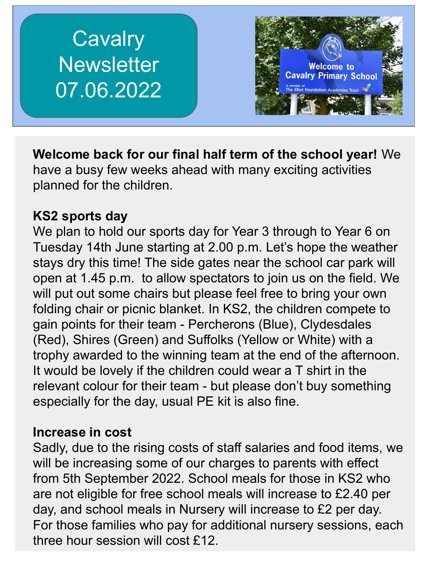# **Cavalry Newsletter** 07.06.2022



**Welcome back for our final half term of the school year!** We have a busy few weeks ahead with many exciting activities planned for the children.

## **KS2 sports day**

We plan to hold our sports day for Year 3 through to Year 6 on Tuesday 14th June starting at 2.00 p.m. Let's hope the weather stays dry this time! The side gates near the school car park will open at 1.45 p.m. to allow spectators to join us on the field. We will put out some chairs but please feel free to bring your own folding chair or picnic blanket. In KS2, the children compete to gain points for their team - Percherons (Blue), Clydesdales (Red), Shires (Green) and Suffolks (Yellow or White) with a trophy awarded to the winning team at the end of the afternoon. It would be lovely if the children could wear a T shirt in the relevant colour for their team - but please don't buy something especially for the day, usual PE kit is also fine.

#### **Increase in cost**

Sadly, due to the rising costs of staff salaries and food items, we will be increasing some of our charges to parents with effect from 5th September 2022. School meals for those in KS2 who are not eligible for free school meals will increase to £2.40 per day, and school meals in Nursery will increase to £2 per day. For those families who pay for additional nursery sessions, each three hour session will cost £12.